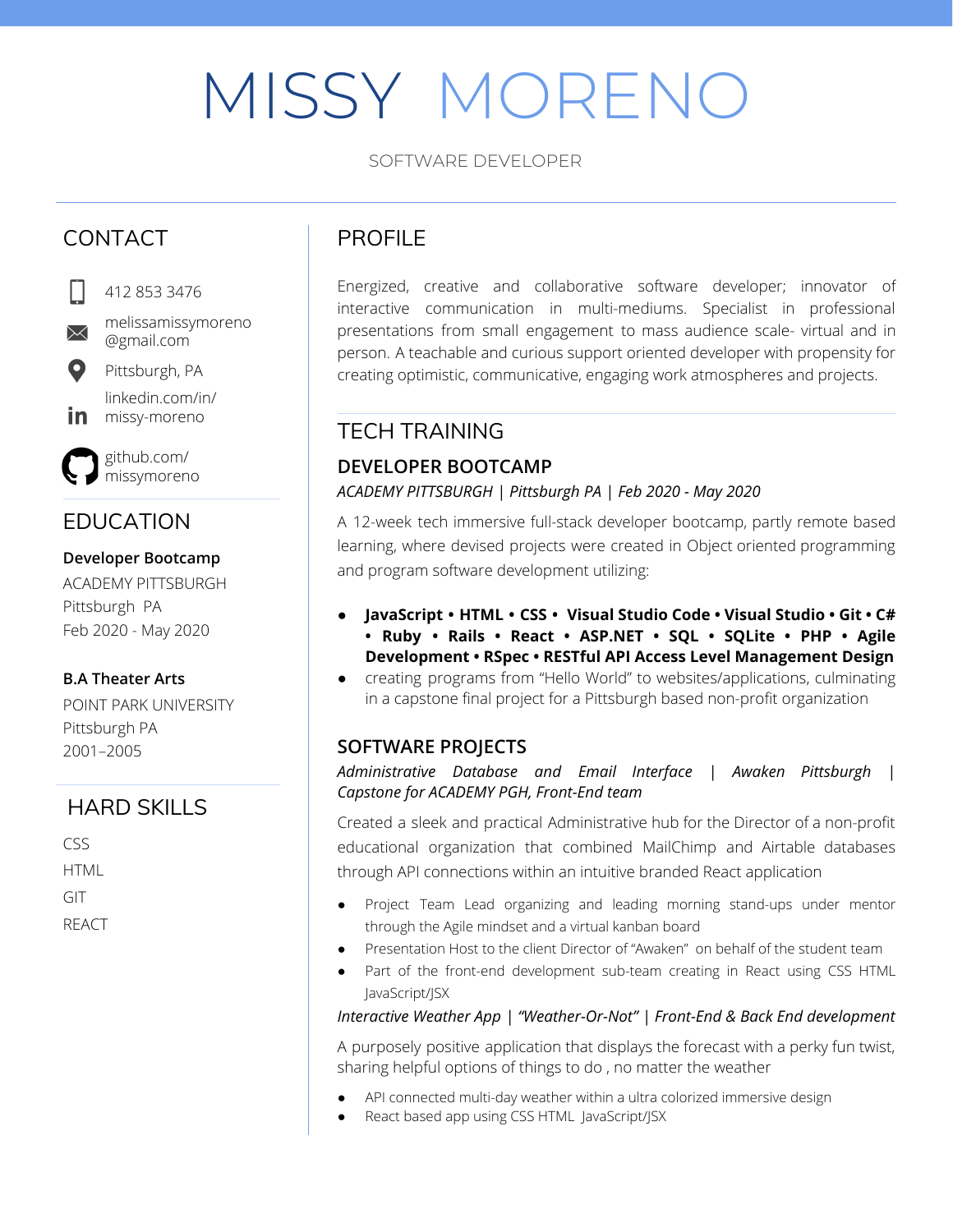# MISSY MORENO

SOFTWARE DEVELOPER

# CONTACT



412 853 3476

 $\boxtimes$ 

@gmail.com Pittsburgh, PA

melissamissymoreno

linkedin.com/in/ in missy-moreno

github.com/ missymoreno

# EDUCATION

### **Developer Bootcamp**

ACADEMY PITTSBURGH Pittsburgh PA Feb 2020 - May 2020

## **B.A Theater Arts**

POINT PARK UNIVERSITY Pittsburgh PA 2001–2005

## HARD SKILLS

 $CSS$ HTML GIT REACT

# PROFILE

Energized, creative and collaborative software developer; innovator of interactive communication in multi-mediums. Specialist in professional presentations from small engagement to mass audience scale- virtual and in person. A teachable and curious support oriented developer with propensity for creating optimistic, communicative, engaging work atmospheres and projects.

## TECH TRAINING

## **DEVELOPER BOOTCAMP**

*ACADEMY PITTSBURGH | Pittsburgh PA | Feb 2020 - May 2020*

A 12-week tech immersive full-stack developer bootcamp, partly remote based learning, where devised projects were created in Object oriented programming and program software development utilizing:

- **● JavaScript • HTML • CSS • Visual Studio Code • Visual Studio • Git • C# • Ruby • Rails • React • ASP.NET • SQL • SQLite • PHP • Agile Development • RSpec • RESTful API Access Level Management Design**
- creating programs from "Hello World" to websites/applications, culminating in a capstone final project for a Pittsburgh based non-profit organization

## **SOFTWARE PROJECTS**

### *Administrative Database and Email Interface | Awaken Pittsburgh | Capstone for ACADEMY PGH, Front-End team*

Created a sleek and practical Administrative hub for the Director of a non-profit educational organization that combined MailChimp and Airtable databases through API connections within an intuitive branded React application

- Project Team Lead organizing and leading morning stand-ups under mentor through the Agile mindset and a virtual kanban board
- Presentation Host to the client Director of "Awaken" on behalf of the student team
- Part of the front-end development sub-team creating in React using CSS HTML JavaScript/JSX

### *Interactive Weather App | "Weather-Or-Not" | Front-End & Back End development*

A purposely positive application that displays the forecast with a perky fun twist, sharing helpful options of things to do , no matter the weather

- API connected multi-day weather within a ultra colorized immersive design
- React based app using CSS HTML JavaScript/JSX